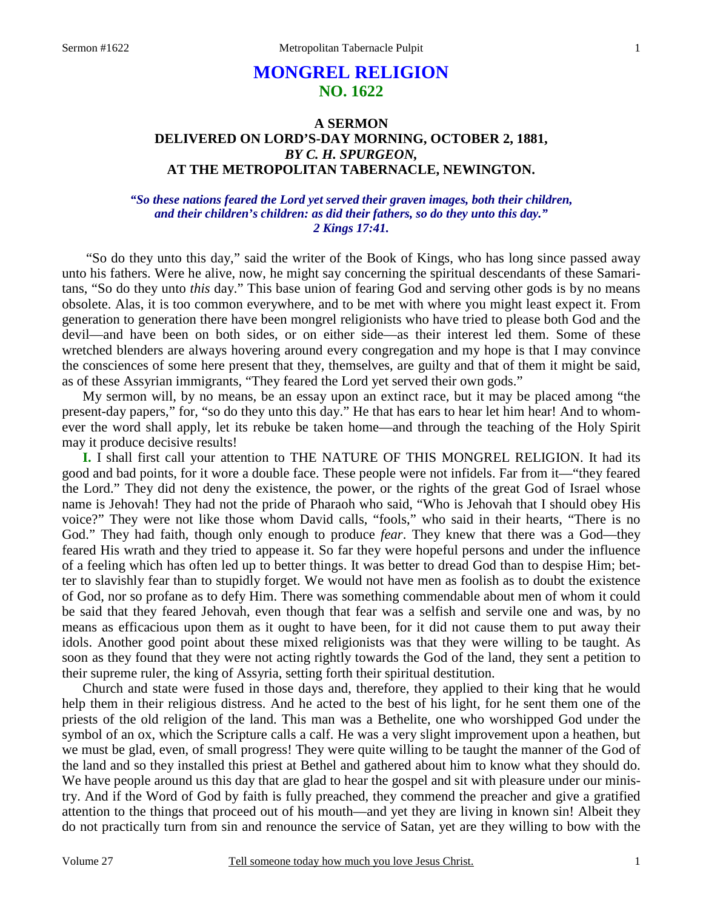# **MONGREL RELIGION NO. 1622**

## **A SERMON DELIVERED ON LORD'S-DAY MORNING, OCTOBER 2, 1881,**  *BY C. H. SPURGEON,*  **AT THE METROPOLITAN TABERNACLE, NEWINGTON.**

### *"So these nations feared the Lord yet served their graven images, both their children, and their children's children: as did their fathers, so do they unto this day." 2 Kings 17:41.*

 "So do they unto this day," said the writer of the Book of Kings, who has long since passed away unto his fathers. Were he alive, now, he might say concerning the spiritual descendants of these Samaritans, "So do they unto *this* day." This base union of fearing God and serving other gods is by no means obsolete. Alas, it is too common everywhere, and to be met with where you might least expect it. From generation to generation there have been mongrel religionists who have tried to please both God and the devil—and have been on both sides, or on either side—as their interest led them. Some of these wretched blenders are always hovering around every congregation and my hope is that I may convince the consciences of some here present that they, themselves, are guilty and that of them it might be said, as of these Assyrian immigrants, "They feared the Lord yet served their own gods."

 My sermon will, by no means, be an essay upon an extinct race, but it may be placed among "the present-day papers," for, "so do they unto this day." He that has ears to hear let him hear! And to whomever the word shall apply, let its rebuke be taken home—and through the teaching of the Holy Spirit may it produce decisive results!

**I.** I shall first call your attention to THE NATURE OF THIS MONGREL RELIGION. It had its good and bad points, for it wore a double face. These people were not infidels. Far from it—"they feared the Lord." They did not deny the existence, the power, or the rights of the great God of Israel whose name is Jehovah! They had not the pride of Pharaoh who said, "Who is Jehovah that I should obey His voice?" They were not like those whom David calls, "fools," who said in their hearts, "There is no God." They had faith, though only enough to produce *fear*. They knew that there was a God—they feared His wrath and they tried to appease it. So far they were hopeful persons and under the influence of a feeling which has often led up to better things. It was better to dread God than to despise Him; better to slavishly fear than to stupidly forget. We would not have men as foolish as to doubt the existence of God, nor so profane as to defy Him. There was something commendable about men of whom it could be said that they feared Jehovah, even though that fear was a selfish and servile one and was, by no means as efficacious upon them as it ought to have been, for it did not cause them to put away their idols. Another good point about these mixed religionists was that they were willing to be taught. As soon as they found that they were not acting rightly towards the God of the land, they sent a petition to their supreme ruler, the king of Assyria, setting forth their spiritual destitution.

 Church and state were fused in those days and, therefore, they applied to their king that he would help them in their religious distress. And he acted to the best of his light, for he sent them one of the priests of the old religion of the land. This man was a Bethelite, one who worshipped God under the symbol of an ox, which the Scripture calls a calf. He was a very slight improvement upon a heathen, but we must be glad, even, of small progress! They were quite willing to be taught the manner of the God of the land and so they installed this priest at Bethel and gathered about him to know what they should do. We have people around us this day that are glad to hear the gospel and sit with pleasure under our ministry. And if the Word of God by faith is fully preached, they commend the preacher and give a gratified attention to the things that proceed out of his mouth—and yet they are living in known sin! Albeit they do not practically turn from sin and renounce the service of Satan, yet are they willing to bow with the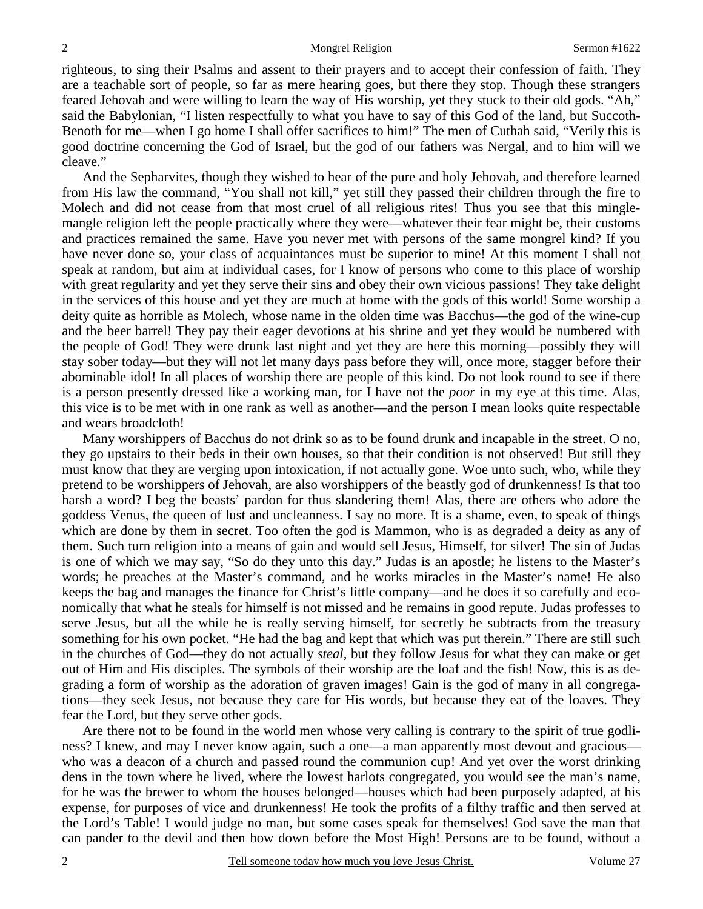righteous, to sing their Psalms and assent to their prayers and to accept their confession of faith. They are a teachable sort of people, so far as mere hearing goes, but there they stop. Though these strangers feared Jehovah and were willing to learn the way of His worship, yet they stuck to their old gods. "Ah," said the Babylonian, "I listen respectfully to what you have to say of this God of the land, but Succoth-Benoth for me—when I go home I shall offer sacrifices to him!" The men of Cuthah said, "Verily this is good doctrine concerning the God of Israel, but the god of our fathers was Nergal, and to him will we cleave."

 And the Sepharvites, though they wished to hear of the pure and holy Jehovah, and therefore learned from His law the command, "You shall not kill," yet still they passed their children through the fire to Molech and did not cease from that most cruel of all religious rites! Thus you see that this minglemangle religion left the people practically where they were—whatever their fear might be, their customs and practices remained the same. Have you never met with persons of the same mongrel kind? If you have never done so, your class of acquaintances must be superior to mine! At this moment I shall not speak at random, but aim at individual cases, for I know of persons who come to this place of worship with great regularity and yet they serve their sins and obey their own vicious passions! They take delight in the services of this house and yet they are much at home with the gods of this world! Some worship a deity quite as horrible as Molech, whose name in the olden time was Bacchus—the god of the wine-cup and the beer barrel! They pay their eager devotions at his shrine and yet they would be numbered with the people of God! They were drunk last night and yet they are here this morning—possibly they will stay sober today—but they will not let many days pass before they will, once more, stagger before their abominable idol! In all places of worship there are people of this kind. Do not look round to see if there is a person presently dressed like a working man, for I have not the *poor* in my eye at this time. Alas, this vice is to be met with in one rank as well as another—and the person I mean looks quite respectable and wears broadcloth!

 Many worshippers of Bacchus do not drink so as to be found drunk and incapable in the street. O no, they go upstairs to their beds in their own houses, so that their condition is not observed! But still they must know that they are verging upon intoxication, if not actually gone. Woe unto such, who, while they pretend to be worshippers of Jehovah, are also worshippers of the beastly god of drunkenness! Is that too harsh a word? I beg the beasts' pardon for thus slandering them! Alas, there are others who adore the goddess Venus, the queen of lust and uncleanness. I say no more. It is a shame, even, to speak of things which are done by them in secret. Too often the god is Mammon, who is as degraded a deity as any of them. Such turn religion into a means of gain and would sell Jesus, Himself, for silver! The sin of Judas is one of which we may say, "So do they unto this day." Judas is an apostle; he listens to the Master's words; he preaches at the Master's command, and he works miracles in the Master's name! He also keeps the bag and manages the finance for Christ's little company—and he does it so carefully and economically that what he steals for himself is not missed and he remains in good repute. Judas professes to serve Jesus, but all the while he is really serving himself, for secretly he subtracts from the treasury something for his own pocket. "He had the bag and kept that which was put therein." There are still such in the churches of God—they do not actually *steal,* but they follow Jesus for what they can make or get out of Him and His disciples. The symbols of their worship are the loaf and the fish! Now, this is as degrading a form of worship as the adoration of graven images! Gain is the god of many in all congregations—they seek Jesus, not because they care for His words, but because they eat of the loaves. They fear the Lord, but they serve other gods.

 Are there not to be found in the world men whose very calling is contrary to the spirit of true godliness? I knew, and may I never know again, such a one—a man apparently most devout and gracious who was a deacon of a church and passed round the communion cup! And yet over the worst drinking dens in the town where he lived, where the lowest harlots congregated, you would see the man's name, for he was the brewer to whom the houses belonged—houses which had been purposely adapted, at his expense, for purposes of vice and drunkenness! He took the profits of a filthy traffic and then served at the Lord's Table! I would judge no man, but some cases speak for themselves! God save the man that can pander to the devil and then bow down before the Most High! Persons are to be found, without a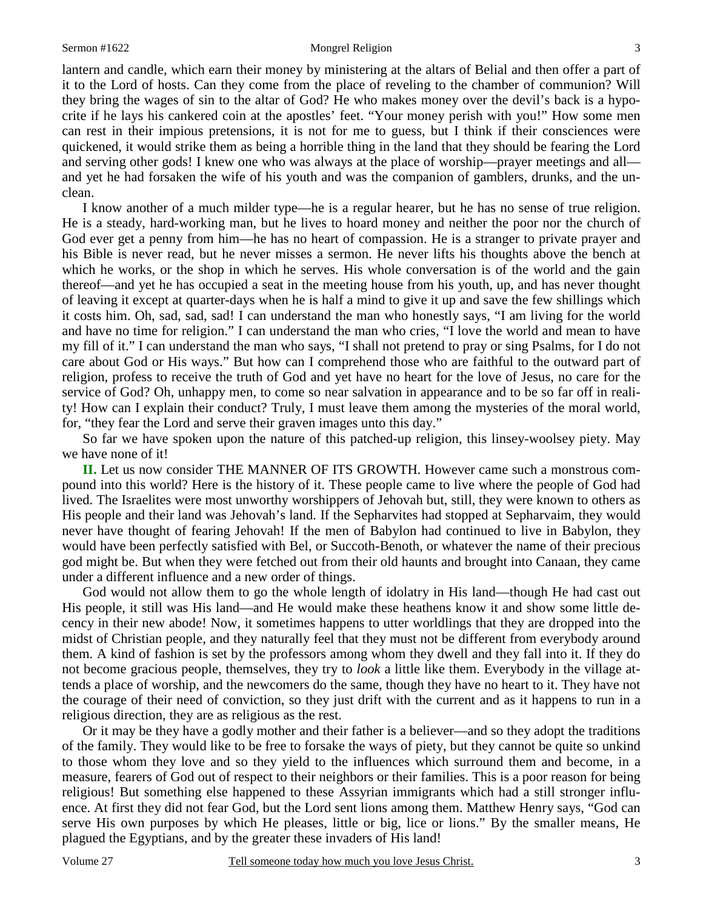#### Sermon #1622 Mongrel Religion 3

lantern and candle, which earn their money by ministering at the altars of Belial and then offer a part of it to the Lord of hosts. Can they come from the place of reveling to the chamber of communion? Will they bring the wages of sin to the altar of God? He who makes money over the devil's back is a hypocrite if he lays his cankered coin at the apostles' feet. "Your money perish with you!" How some men can rest in their impious pretensions, it is not for me to guess, but I think if their consciences were quickened, it would strike them as being a horrible thing in the land that they should be fearing the Lord and serving other gods! I knew one who was always at the place of worship—prayer meetings and all and yet he had forsaken the wife of his youth and was the companion of gamblers, drunks, and the unclean.

 I know another of a much milder type—he is a regular hearer, but he has no sense of true religion. He is a steady, hard-working man, but he lives to hoard money and neither the poor nor the church of God ever get a penny from him—he has no heart of compassion. He is a stranger to private prayer and his Bible is never read, but he never misses a sermon. He never lifts his thoughts above the bench at which he works, or the shop in which he serves. His whole conversation is of the world and the gain thereof—and yet he has occupied a seat in the meeting house from his youth, up, and has never thought of leaving it except at quarter-days when he is half a mind to give it up and save the few shillings which it costs him. Oh, sad, sad, sad! I can understand the man who honestly says, "I am living for the world and have no time for religion." I can understand the man who cries, "I love the world and mean to have my fill of it." I can understand the man who says, "I shall not pretend to pray or sing Psalms, for I do not care about God or His ways." But how can I comprehend those who are faithful to the outward part of religion, profess to receive the truth of God and yet have no heart for the love of Jesus, no care for the service of God? Oh, unhappy men, to come so near salvation in appearance and to be so far off in reality! How can I explain their conduct? Truly, I must leave them among the mysteries of the moral world, for, "they fear the Lord and serve their graven images unto this day."

 So far we have spoken upon the nature of this patched-up religion, this linsey-woolsey piety. May we have none of it!

**II.** Let us now consider THE MANNER OF ITS GROWTH. However came such a monstrous compound into this world? Here is the history of it. These people came to live where the people of God had lived. The Israelites were most unworthy worshippers of Jehovah but, still, they were known to others as His people and their land was Jehovah's land. If the Sepharvites had stopped at Sepharvaim, they would never have thought of fearing Jehovah! If the men of Babylon had continued to live in Babylon, they would have been perfectly satisfied with Bel, or Succoth-Benoth, or whatever the name of their precious god might be. But when they were fetched out from their old haunts and brought into Canaan, they came under a different influence and a new order of things.

 God would not allow them to go the whole length of idolatry in His land—though He had cast out His people, it still was His land—and He would make these heathens know it and show some little decency in their new abode! Now, it sometimes happens to utter worldlings that they are dropped into the midst of Christian people, and they naturally feel that they must not be different from everybody around them. A kind of fashion is set by the professors among whom they dwell and they fall into it. If they do not become gracious people, themselves, they try to *look* a little like them. Everybody in the village attends a place of worship, and the newcomers do the same, though they have no heart to it. They have not the courage of their need of conviction, so they just drift with the current and as it happens to run in a religious direction, they are as religious as the rest.

 Or it may be they have a godly mother and their father is a believer—and so they adopt the traditions of the family. They would like to be free to forsake the ways of piety, but they cannot be quite so unkind to those whom they love and so they yield to the influences which surround them and become, in a measure, fearers of God out of respect to their neighbors or their families. This is a poor reason for being religious! But something else happened to these Assyrian immigrants which had a still stronger influence. At first they did not fear God, but the Lord sent lions among them. Matthew Henry says, "God can serve His own purposes by which He pleases, little or big, lice or lions." By the smaller means, He plagued the Egyptians, and by the greater these invaders of His land!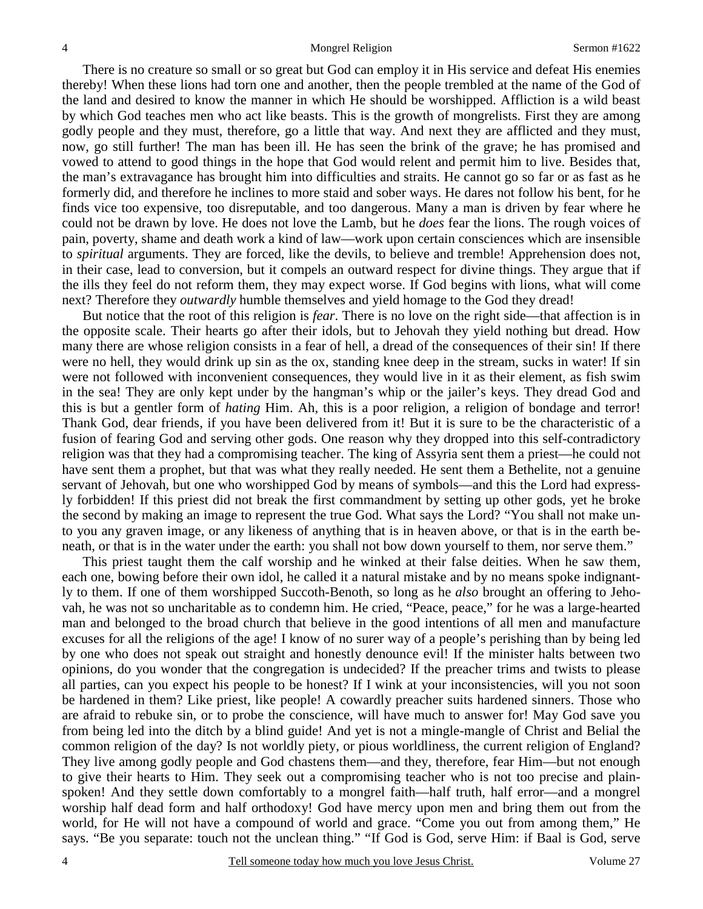There is no creature so small or so great but God can employ it in His service and defeat His enemies thereby! When these lions had torn one and another, then the people trembled at the name of the God of the land and desired to know the manner in which He should be worshipped. Affliction is a wild beast by which God teaches men who act like beasts. This is the growth of mongrelists. First they are among godly people and they must, therefore, go a little that way. And next they are afflicted and they must, now, go still further! The man has been ill. He has seen the brink of the grave; he has promised and vowed to attend to good things in the hope that God would relent and permit him to live. Besides that, the man's extravagance has brought him into difficulties and straits. He cannot go so far or as fast as he formerly did, and therefore he inclines to more staid and sober ways. He dares not follow his bent, for he finds vice too expensive, too disreputable, and too dangerous. Many a man is driven by fear where he could not be drawn by love. He does not love the Lamb, but he *does* fear the lions. The rough voices of pain, poverty, shame and death work a kind of law—work upon certain consciences which are insensible to *spiritual* arguments. They are forced, like the devils, to believe and tremble! Apprehension does not, in their case, lead to conversion, but it compels an outward respect for divine things. They argue that if the ills they feel do not reform them, they may expect worse. If God begins with lions, what will come next? Therefore they *outwardly* humble themselves and yield homage to the God they dread!

 But notice that the root of this religion is *fear*. There is no love on the right side—that affection is in the opposite scale. Their hearts go after their idols, but to Jehovah they yield nothing but dread. How many there are whose religion consists in a fear of hell, a dread of the consequences of their sin! If there were no hell, they would drink up sin as the ox, standing knee deep in the stream, sucks in water! If sin were not followed with inconvenient consequences, they would live in it as their element, as fish swim in the sea! They are only kept under by the hangman's whip or the jailer's keys. They dread God and this is but a gentler form of *hating* Him. Ah, this is a poor religion, a religion of bondage and terror! Thank God, dear friends, if you have been delivered from it! But it is sure to be the characteristic of a fusion of fearing God and serving other gods. One reason why they dropped into this self-contradictory religion was that they had a compromising teacher. The king of Assyria sent them a priest—he could not have sent them a prophet, but that was what they really needed. He sent them a Bethelite, not a genuine servant of Jehovah, but one who worshipped God by means of symbols—and this the Lord had expressly forbidden! If this priest did not break the first commandment by setting up other gods, yet he broke the second by making an image to represent the true God. What says the Lord? "You shall not make unto you any graven image, or any likeness of anything that is in heaven above, or that is in the earth beneath, or that is in the water under the earth: you shall not bow down yourself to them, nor serve them."

 This priest taught them the calf worship and he winked at their false deities. When he saw them, each one, bowing before their own idol, he called it a natural mistake and by no means spoke indignantly to them. If one of them worshipped Succoth-Benoth, so long as he *also* brought an offering to Jehovah, he was not so uncharitable as to condemn him. He cried, "Peace, peace," for he was a large-hearted man and belonged to the broad church that believe in the good intentions of all men and manufacture excuses for all the religions of the age! I know of no surer way of a people's perishing than by being led by one who does not speak out straight and honestly denounce evil! If the minister halts between two opinions, do you wonder that the congregation is undecided? If the preacher trims and twists to please all parties, can you expect his people to be honest? If I wink at your inconsistencies, will you not soon be hardened in them? Like priest, like people! A cowardly preacher suits hardened sinners. Those who are afraid to rebuke sin, or to probe the conscience, will have much to answer for! May God save you from being led into the ditch by a blind guide! And yet is not a mingle-mangle of Christ and Belial the common religion of the day? Is not worldly piety, or pious worldliness, the current religion of England? They live among godly people and God chastens them—and they, therefore, fear Him—but not enough to give their hearts to Him. They seek out a compromising teacher who is not too precise and plainspoken! And they settle down comfortably to a mongrel faith—half truth, half error—and a mongrel worship half dead form and half orthodoxy! God have mercy upon men and bring them out from the world, for He will not have a compound of world and grace. "Come you out from among them," He says. "Be you separate: touch not the unclean thing." "If God is God, serve Him: if Baal is God, serve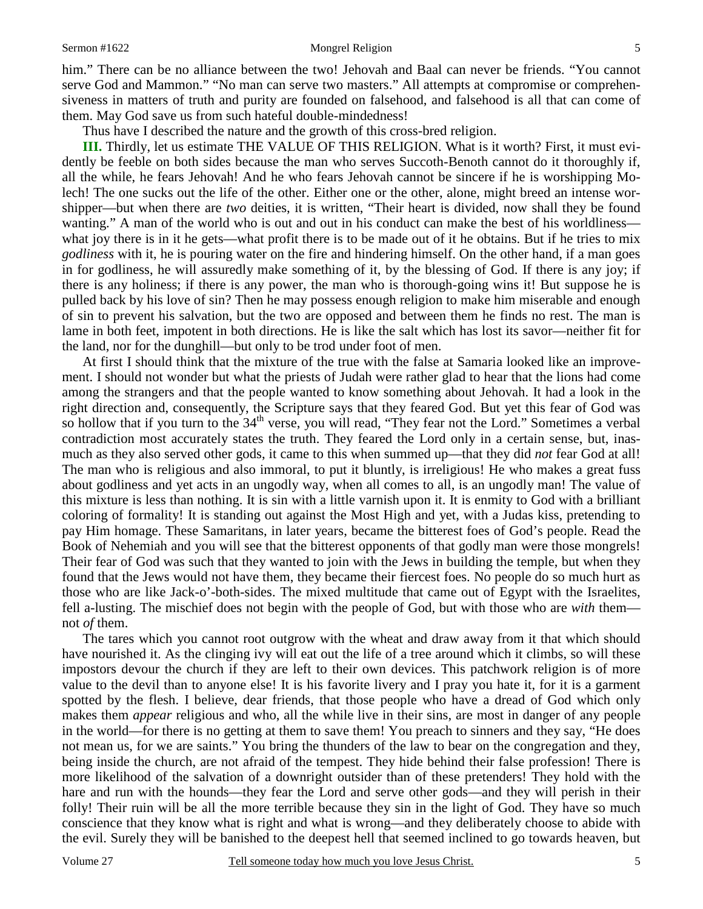#### Sermon #1622 Mongrel Religion 5

him." There can be no alliance between the two! Jehovah and Baal can never be friends. "You cannot serve God and Mammon." "No man can serve two masters." All attempts at compromise or comprehensiveness in matters of truth and purity are founded on falsehood, and falsehood is all that can come of them. May God save us from such hateful double-mindedness!

Thus have I described the nature and the growth of this cross-bred religion.

**III.** Thirdly, let us estimate THE VALUE OF THIS RELIGION. What is it worth? First, it must evidently be feeble on both sides because the man who serves Succoth-Benoth cannot do it thoroughly if, all the while, he fears Jehovah! And he who fears Jehovah cannot be sincere if he is worshipping Molech! The one sucks out the life of the other. Either one or the other, alone, might breed an intense worshipper—but when there are *two* deities, it is written, "Their heart is divided, now shall they be found wanting." A man of the world who is out and out in his conduct can make the best of his worldliness what joy there is in it he gets—what profit there is to be made out of it he obtains. But if he tries to mix *godliness* with it, he is pouring water on the fire and hindering himself. On the other hand, if a man goes in for godliness, he will assuredly make something of it, by the blessing of God. If there is any joy; if there is any holiness; if there is any power, the man who is thorough-going wins it! But suppose he is pulled back by his love of sin? Then he may possess enough religion to make him miserable and enough of sin to prevent his salvation, but the two are opposed and between them he finds no rest. The man is lame in both feet, impotent in both directions. He is like the salt which has lost its savor—neither fit for the land, nor for the dunghill—but only to be trod under foot of men.

 At first I should think that the mixture of the true with the false at Samaria looked like an improvement. I should not wonder but what the priests of Judah were rather glad to hear that the lions had come among the strangers and that the people wanted to know something about Jehovah. It had a look in the right direction and, consequently, the Scripture says that they feared God. But yet this fear of God was so hollow that if you turn to the 34<sup>th</sup> verse, you will read, "They fear not the Lord." Sometimes a verbal contradiction most accurately states the truth. They feared the Lord only in a certain sense, but, inasmuch as they also served other gods, it came to this when summed up—that they did *not* fear God at all! The man who is religious and also immoral, to put it bluntly, is irreligious! He who makes a great fuss about godliness and yet acts in an ungodly way, when all comes to all, is an ungodly man! The value of this mixture is less than nothing. It is sin with a little varnish upon it. It is enmity to God with a brilliant coloring of formality! It is standing out against the Most High and yet, with a Judas kiss, pretending to pay Him homage. These Samaritans, in later years, became the bitterest foes of God's people. Read the Book of Nehemiah and you will see that the bitterest opponents of that godly man were those mongrels! Their fear of God was such that they wanted to join with the Jews in building the temple, but when they found that the Jews would not have them, they became their fiercest foes. No people do so much hurt as those who are like Jack-o'-both-sides. The mixed multitude that came out of Egypt with the Israelites, fell a-lusting. The mischief does not begin with the people of God, but with those who are *with* them not *of* them.

 The tares which you cannot root outgrow with the wheat and draw away from it that which should have nourished it. As the clinging ivy will eat out the life of a tree around which it climbs, so will these impostors devour the church if they are left to their own devices. This patchwork religion is of more value to the devil than to anyone else! It is his favorite livery and I pray you hate it, for it is a garment spotted by the flesh. I believe, dear friends, that those people who have a dread of God which only makes them *appear* religious and who, all the while live in their sins, are most in danger of any people in the world—for there is no getting at them to save them! You preach to sinners and they say, "He does not mean us, for we are saints." You bring the thunders of the law to bear on the congregation and they, being inside the church, are not afraid of the tempest. They hide behind their false profession! There is more likelihood of the salvation of a downright outsider than of these pretenders! They hold with the hare and run with the hounds—they fear the Lord and serve other gods—and they will perish in their folly! Their ruin will be all the more terrible because they sin in the light of God. They have so much conscience that they know what is right and what is wrong—and they deliberately choose to abide with the evil. Surely they will be banished to the deepest hell that seemed inclined to go towards heaven, but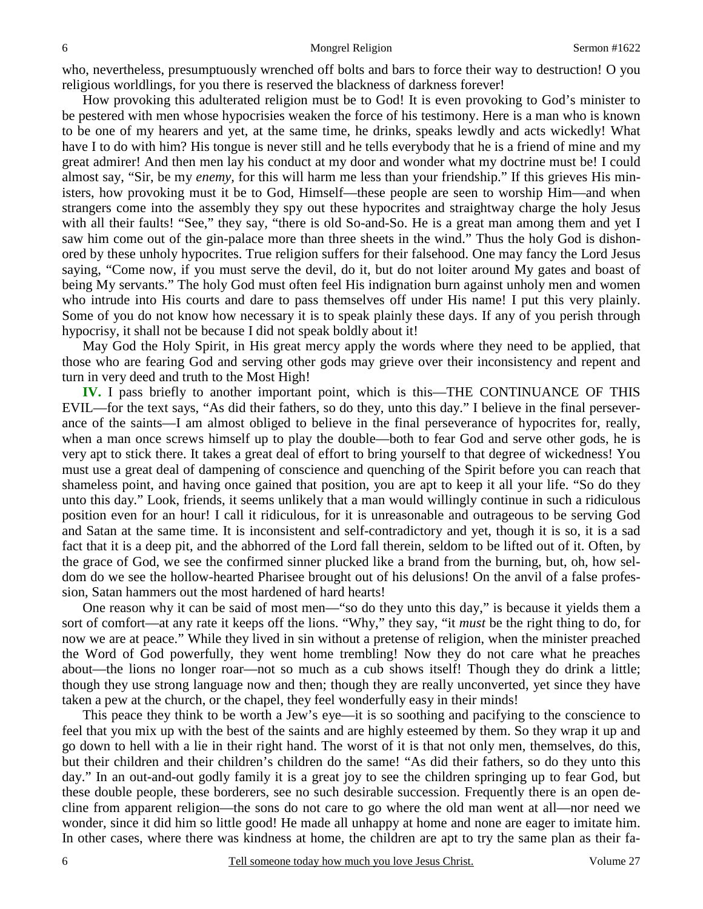who, nevertheless, presumptuously wrenched off bolts and bars to force their way to destruction! O you religious worldlings, for you there is reserved the blackness of darkness forever!

 How provoking this adulterated religion must be to God! It is even provoking to God's minister to be pestered with men whose hypocrisies weaken the force of his testimony. Here is a man who is known to be one of my hearers and yet, at the same time, he drinks, speaks lewdly and acts wickedly! What have I to do with him? His tongue is never still and he tells everybody that he is a friend of mine and my great admirer! And then men lay his conduct at my door and wonder what my doctrine must be! I could almost say, "Sir, be my *enemy,* for this will harm me less than your friendship." If this grieves His ministers, how provoking must it be to God, Himself—these people are seen to worship Him—and when strangers come into the assembly they spy out these hypocrites and straightway charge the holy Jesus with all their faults! "See," they say, "there is old So-and-So. He is a great man among them and yet I saw him come out of the gin-palace more than three sheets in the wind." Thus the holy God is dishonored by these unholy hypocrites. True religion suffers for their falsehood. One may fancy the Lord Jesus saying, "Come now, if you must serve the devil, do it, but do not loiter around My gates and boast of being My servants." The holy God must often feel His indignation burn against unholy men and women who intrude into His courts and dare to pass themselves off under His name! I put this very plainly. Some of you do not know how necessary it is to speak plainly these days. If any of you perish through hypocrisy, it shall not be because I did not speak boldly about it!

 May God the Holy Spirit, in His great mercy apply the words where they need to be applied, that those who are fearing God and serving other gods may grieve over their inconsistency and repent and turn in very deed and truth to the Most High!

**IV.** I pass briefly to another important point, which is this—THE CONTINUANCE OF THIS EVIL—for the text says, "As did their fathers, so do they, unto this day." I believe in the final perseverance of the saints—I am almost obliged to believe in the final perseverance of hypocrites for, really, when a man once screws himself up to play the double—both to fear God and serve other gods, he is very apt to stick there. It takes a great deal of effort to bring yourself to that degree of wickedness! You must use a great deal of dampening of conscience and quenching of the Spirit before you can reach that shameless point, and having once gained that position, you are apt to keep it all your life. "So do they unto this day." Look, friends, it seems unlikely that a man would willingly continue in such a ridiculous position even for an hour! I call it ridiculous, for it is unreasonable and outrageous to be serving God and Satan at the same time. It is inconsistent and self-contradictory and yet, though it is so, it is a sad fact that it is a deep pit, and the abhorred of the Lord fall therein, seldom to be lifted out of it. Often, by the grace of God, we see the confirmed sinner plucked like a brand from the burning, but, oh, how seldom do we see the hollow-hearted Pharisee brought out of his delusions! On the anvil of a false profession, Satan hammers out the most hardened of hard hearts!

 One reason why it can be said of most men—"so do they unto this day," is because it yields them a sort of comfort—at any rate it keeps off the lions. "Why," they say, "it *must* be the right thing to do, for now we are at peace." While they lived in sin without a pretense of religion, when the minister preached the Word of God powerfully, they went home trembling! Now they do not care what he preaches about—the lions no longer roar—not so much as a cub shows itself! Though they do drink a little; though they use strong language now and then; though they are really unconverted, yet since they have taken a pew at the church, or the chapel, they feel wonderfully easy in their minds!

 This peace they think to be worth a Jew's eye—it is so soothing and pacifying to the conscience to feel that you mix up with the best of the saints and are highly esteemed by them. So they wrap it up and go down to hell with a lie in their right hand. The worst of it is that not only men, themselves, do this, but their children and their children's children do the same! "As did their fathers, so do they unto this day." In an out-and-out godly family it is a great joy to see the children springing up to fear God, but these double people, these borderers, see no such desirable succession. Frequently there is an open decline from apparent religion—the sons do not care to go where the old man went at all—nor need we wonder, since it did him so little good! He made all unhappy at home and none are eager to imitate him. In other cases, where there was kindness at home, the children are apt to try the same plan as their fa-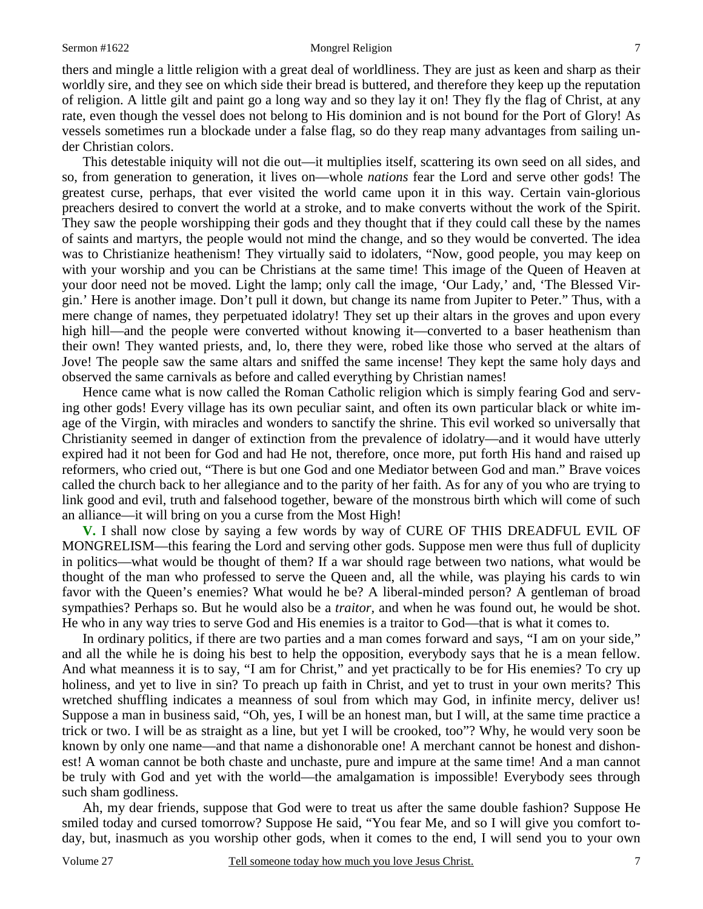### Sermon #1622 Mongrel Religion 7

thers and mingle a little religion with a great deal of worldliness. They are just as keen and sharp as their worldly sire, and they see on which side their bread is buttered, and therefore they keep up the reputation of religion. A little gilt and paint go a long way and so they lay it on! They fly the flag of Christ, at any rate, even though the vessel does not belong to His dominion and is not bound for the Port of Glory! As vessels sometimes run a blockade under a false flag, so do they reap many advantages from sailing under Christian colors.

 This detestable iniquity will not die out—it multiplies itself, scattering its own seed on all sides, and so, from generation to generation, it lives on—whole *nations* fear the Lord and serve other gods! The greatest curse, perhaps, that ever visited the world came upon it in this way. Certain vain-glorious preachers desired to convert the world at a stroke, and to make converts without the work of the Spirit. They saw the people worshipping their gods and they thought that if they could call these by the names of saints and martyrs, the people would not mind the change, and so they would be converted. The idea was to Christianize heathenism! They virtually said to idolaters, "Now, good people, you may keep on with your worship and you can be Christians at the same time! This image of the Queen of Heaven at your door need not be moved. Light the lamp; only call the image, 'Our Lady,' and, 'The Blessed Virgin.' Here is another image. Don't pull it down, but change its name from Jupiter to Peter." Thus, with a mere change of names, they perpetuated idolatry! They set up their altars in the groves and upon every high hill—and the people were converted without knowing it—converted to a baser heathenism than their own! They wanted priests, and, lo, there they were, robed like those who served at the altars of Jove! The people saw the same altars and sniffed the same incense! They kept the same holy days and observed the same carnivals as before and called everything by Christian names!

 Hence came what is now called the Roman Catholic religion which is simply fearing God and serving other gods! Every village has its own peculiar saint, and often its own particular black or white image of the Virgin, with miracles and wonders to sanctify the shrine. This evil worked so universally that Christianity seemed in danger of extinction from the prevalence of idolatry—and it would have utterly expired had it not been for God and had He not, therefore, once more, put forth His hand and raised up reformers, who cried out, "There is but one God and one Mediator between God and man." Brave voices called the church back to her allegiance and to the parity of her faith. As for any of you who are trying to link good and evil, truth and falsehood together, beware of the monstrous birth which will come of such an alliance—it will bring on you a curse from the Most High!

**V.** I shall now close by saying a few words by way of CURE OF THIS DREADFUL EVIL OF MONGRELISM—this fearing the Lord and serving other gods. Suppose men were thus full of duplicity in politics—what would be thought of them? If a war should rage between two nations, what would be thought of the man who professed to serve the Queen and, all the while, was playing his cards to win favor with the Queen's enemies? What would he be? A liberal-minded person? A gentleman of broad sympathies? Perhaps so. But he would also be a *traitor,* and when he was found out, he would be shot. He who in any way tries to serve God and His enemies is a traitor to God—that is what it comes to.

 In ordinary politics, if there are two parties and a man comes forward and says, "I am on your side," and all the while he is doing his best to help the opposition, everybody says that he is a mean fellow. And what meanness it is to say, "I am for Christ," and yet practically to be for His enemies? To cry up holiness, and yet to live in sin? To preach up faith in Christ, and yet to trust in your own merits? This wretched shuffling indicates a meanness of soul from which may God, in infinite mercy, deliver us! Suppose a man in business said, "Oh, yes, I will be an honest man, but I will, at the same time practice a trick or two. I will be as straight as a line, but yet I will be crooked, too"? Why, he would very soon be known by only one name—and that name a dishonorable one! A merchant cannot be honest and dishonest! A woman cannot be both chaste and unchaste, pure and impure at the same time! And a man cannot be truly with God and yet with the world—the amalgamation is impossible! Everybody sees through such sham godliness.

 Ah, my dear friends, suppose that God were to treat us after the same double fashion? Suppose He smiled today and cursed tomorrow? Suppose He said, "You fear Me, and so I will give you comfort today, but, inasmuch as you worship other gods, when it comes to the end, I will send you to your own